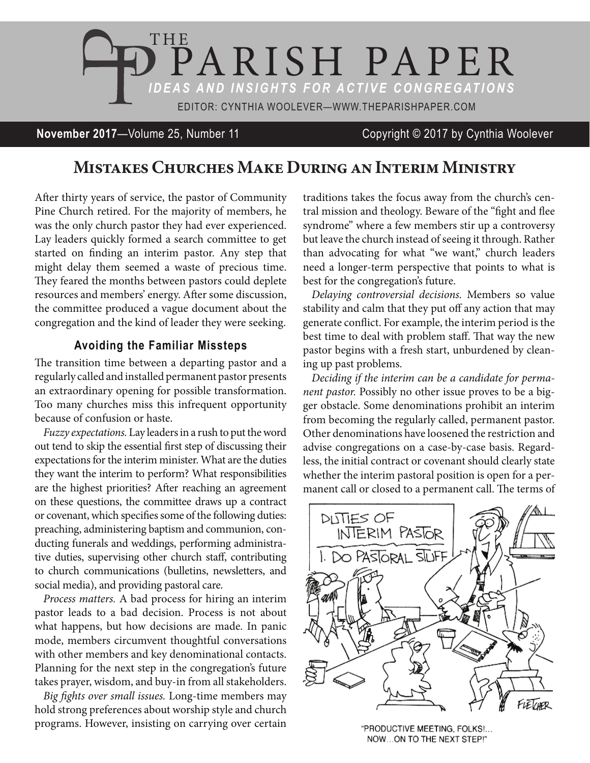

**November 2017**—Volume 25, Number 11 Copyright © 2017 by Cynthia Woolever

# **Mistakes Churches Make During an Interim Ministry**

After thirty years of service, the pastor of Community Pine Church retired. For the majority of members, he was the only church pastor they had ever experienced. Lay leaders quickly formed a search committee to get started on finding an interim pastor. Any step that might delay them seemed a waste of precious time. They feared the months between pastors could deplete resources and members' energy. After some discussion, the committee produced a vague document about the congregation and the kind of leader they were seeking.

#### **Avoiding the Familiar Missteps**

The transition time between a departing pastor and a regularly called and installed permanent pastor presents an extraordinary opening for possible transformation. Too many churches miss this infrequent opportunity because of confusion or haste.

*Fuzzy expectations.* Lay leaders in a rush to put the word out tend to skip the essential first step of discussing their expectations for the interim minister. What are the duties they want the interim to perform? What responsibilities are the highest priorities? After reaching an agreement on these questions, the committee draws up a contract or covenant, which specifies some of the following duties: preaching, administering baptism and communion, conducting funerals and weddings, performing administrative duties, supervising other church staff, contributing to church communications (bulletins, newsletters, and social media), and providing pastoral care.

*Process matters.* A bad process for hiring an interim pastor leads to a bad decision. Process is not about what happens, but how decisions are made. In panic mode, members circumvent thoughtful conversations with other members and key denominational contacts. Planning for the next step in the congregation's future takes prayer, wisdom, and buy-in from all stakeholders.

*Big fights over small issues.* Long-time members may hold strong preferences about worship style and church programs. However, insisting on carrying over certain traditions takes the focus away from the church's central mission and theology. Beware of the "fight and flee syndrome" where a few members stir up a controversy but leave the church instead of seeing it through. Rather than advocating for what "we want," church leaders need a longer-term perspective that points to what is best for the congregation's future.

*Delaying controversial decisions.* Members so value stability and calm that they put off any action that may generate conflict. For example, the interim period is the best time to deal with problem staff. That way the new pastor begins with a fresh start, unburdened by cleaning up past problems.

*Deciding if the interim can be a candidate for permanent pastor.* Possibly no other issue proves to be a bigger obstacle. Some denominations prohibit an interim from becoming the regularly called, permanent pastor. Other denominations have loosened the restriction and advise congregations on a case-by-case basis. Regardless, the initial contract or covenant should clearly state whether the interim pastoral position is open for a permanent call or closed to a permanent call. The terms of



"PRODUCTIVE MEETING, FOLKS !... NOW...ON TO THE NEXT STEP!"